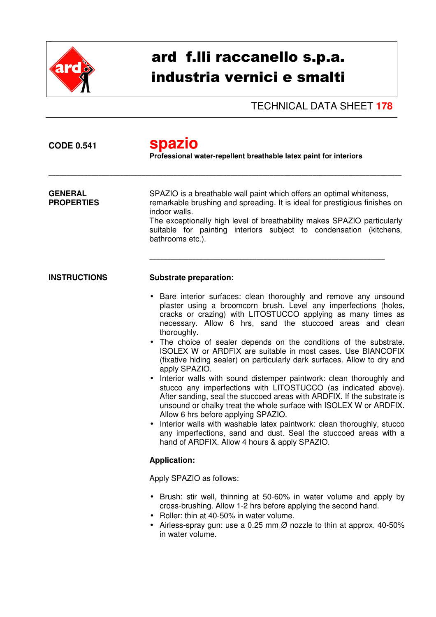

## ard f.lli raccanello s.p.a. industria vernici e smalti

TECHNICAL DATA SHEET **178**

| <b>CODE 0.541</b>                   | <b>spazio</b><br>Professional water-repellent breathable latex paint for interiors                                                                                                                                                                                                                                                                                                                                                                                                                                                                                                                                                                                                                                                                                                                                                                                                                                                                                                                                                                     |  |  |
|-------------------------------------|--------------------------------------------------------------------------------------------------------------------------------------------------------------------------------------------------------------------------------------------------------------------------------------------------------------------------------------------------------------------------------------------------------------------------------------------------------------------------------------------------------------------------------------------------------------------------------------------------------------------------------------------------------------------------------------------------------------------------------------------------------------------------------------------------------------------------------------------------------------------------------------------------------------------------------------------------------------------------------------------------------------------------------------------------------|--|--|
| <b>GENERAL</b><br><b>PROPERTIES</b> | SPAZIO is a breathable wall paint which offers an optimal whiteness,<br>remarkable brushing and spreading. It is ideal for prestigious finishes on<br>indoor walls.<br>The exceptionally high level of breathability makes SPAZIO particularly<br>suitable for painting interiors subject to condensation (kitchens,<br>bathrooms etc.).                                                                                                                                                                                                                                                                                                                                                                                                                                                                                                                                                                                                                                                                                                               |  |  |
| <b>INSTRUCTIONS</b>                 | <b>Substrate preparation:</b>                                                                                                                                                                                                                                                                                                                                                                                                                                                                                                                                                                                                                                                                                                                                                                                                                                                                                                                                                                                                                          |  |  |
|                                     | • Bare interior surfaces: clean thoroughly and remove any unsound<br>plaster using a broomcorn brush. Level any imperfections (holes,<br>cracks or crazing) with LITOSTUCCO applying as many times as<br>necessary. Allow 6 hrs, sand the stuccoed areas and clean<br>thoroughly.<br>• The choice of sealer depends on the conditions of the substrate.<br>ISOLEX W or ARDFIX are suitable in most cases. Use BIANCOFIX<br>(fixative hiding sealer) on particularly dark surfaces. Allow to dry and<br>apply SPAZIO.<br>• Interior walls with sound distemper paintwork: clean thoroughly and<br>stucco any imperfections with LITOSTUCCO (as indicated above).<br>After sanding, seal the stuccoed areas with ARDFIX. If the substrate is<br>unsound or chalky treat the whole surface with ISOLEX W or ARDFIX.<br>Allow 6 hrs before applying SPAZIO.<br>Interior walls with washable latex paintwork: clean thoroughly, stucco<br>any imperfections, sand and dust. Seal the stuccoed areas with a<br>hand of ARDFIX. Allow 4 hours & apply SPAZIO. |  |  |
|                                     | <b>Application:</b>                                                                                                                                                                                                                                                                                                                                                                                                                                                                                                                                                                                                                                                                                                                                                                                                                                                                                                                                                                                                                                    |  |  |
|                                     | Apply SPAZIO as follows:                                                                                                                                                                                                                                                                                                                                                                                                                                                                                                                                                                                                                                                                                                                                                                                                                                                                                                                                                                                                                               |  |  |
|                                     | • Brush: stir well, thinning at 50-60% in water volume and apply by<br>cross-brushing. Allow 1-2 hrs before applying the second hand.<br>• Roller: thin at 40-50% in water volume.<br>• Airless-spray gun: use a 0.25 mm $\varnothing$ nozzle to thin at approx. 40-50%<br>in water volume.                                                                                                                                                                                                                                                                                                                                                                                                                                                                                                                                                                                                                                                                                                                                                            |  |  |